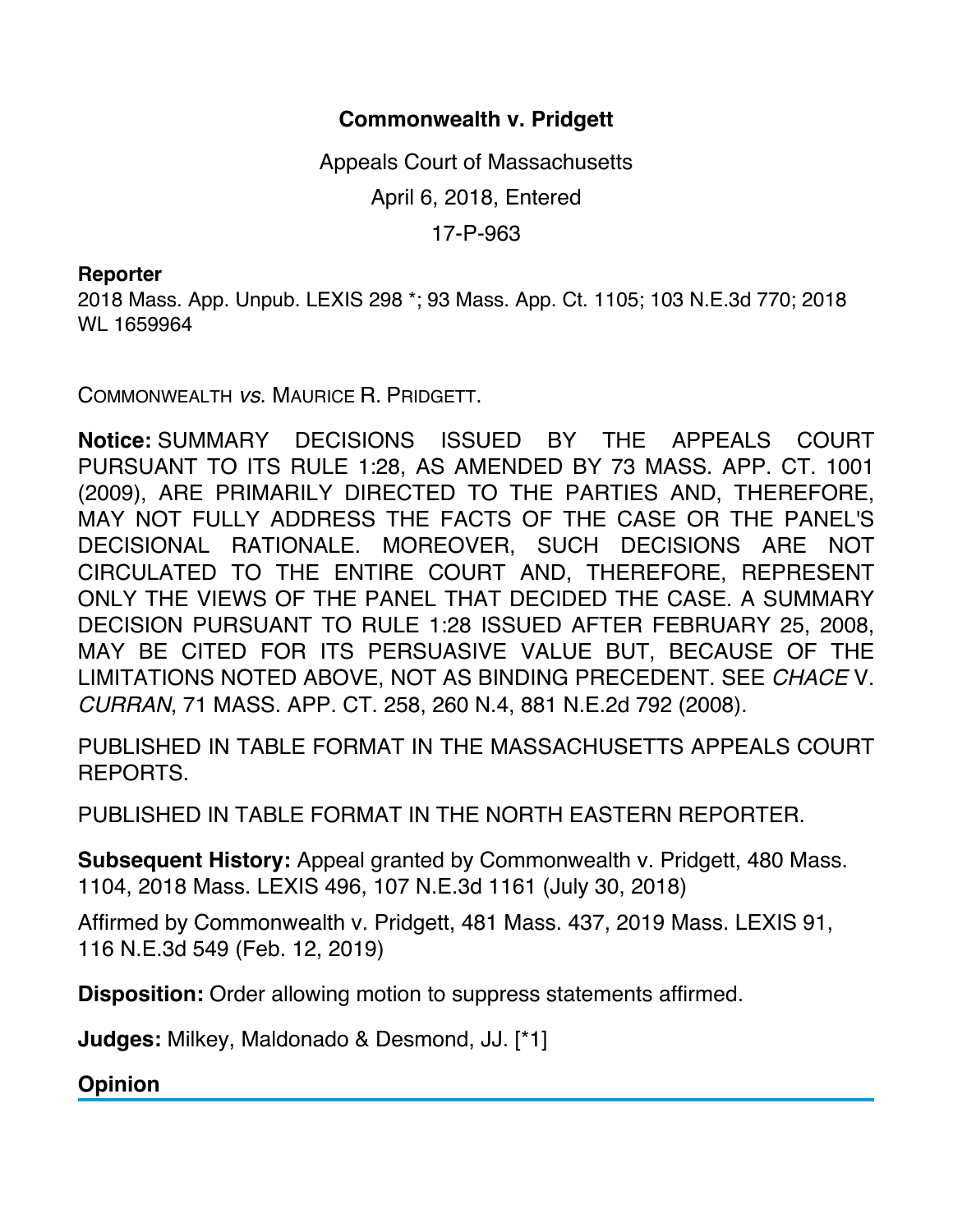## **Commonwealth v. Pridgett**

Appeals Court of Massachusetts April 6, 2018, Entered 17-P-963

## **Reporter**

2018 Mass. App. Unpub. LEXIS 298 \*; 93 Mass. App. Ct. 1105; 103 N.E.3d 770; 2018 WL 1659964

COMMONWEALTH *vs*. MAURICE R. PRIDGETT.

**Notice:** SUMMARY DECISIONS ISSUED BY THE APPEALS COURT PURSUANT TO ITS RULE 1:28, AS AMENDED BY 73 MASS. APP. CT. 1001 (2009), ARE PRIMARILY DIRECTED TO THE PARTIES AND, THEREFORE, MAY NOT FULLY ADDRESS THE FACTS OF THE CASE OR THE PANEL'S DECISIONAL RATIONALE. MOREOVER, SUCH DECISIONS ARE NOT CIRCULATED TO THE ENTIRE COURT AND, THEREFORE, REPRESENT ONLY THE VIEWS OF THE PANEL THAT DECIDED THE CASE. A SUMMARY DECISION PURSUANT TO RULE 1:28 ISSUED AFTER FEBRUARY 25, 2008, MAY BE CITED FOR ITS PERSUASIVE VALUE BUT, BECAUSE OF THE LIMITATIONS NOTED ABOVE, NOT AS BINDING PRECEDENT. SEE *CHACE* V. *CURRAN*, 71 MASS. APP. CT. 258, 260 N.4, 881 N.E.2d 792 (2008).

PUBLISHED IN TABLE FORMAT IN THE MASSACHUSETTS APPEALS COURT REPORTS.

PUBLISHED IN TABLE FORMAT IN THE NORTH EASTERN REPORTER.

**Subsequent History:** Appeal granted by Commonwealth v. Pridgett, 480 Mass. 1104, 2018 Mass. LEXIS 496, 107 N.E.3d 1161 (July 30, 2018)

Affirmed by Commonwealth v. Pridgett, 481 Mass. 437, 2019 Mass. LEXIS 91, 116 N.E.3d 549 (Feb. 12, 2019)

**Disposition:** Order allowing motion to suppress statements affirmed.

**Judges:** Milkey, Maldonado & Desmond, JJ. [\*1]

**Opinion**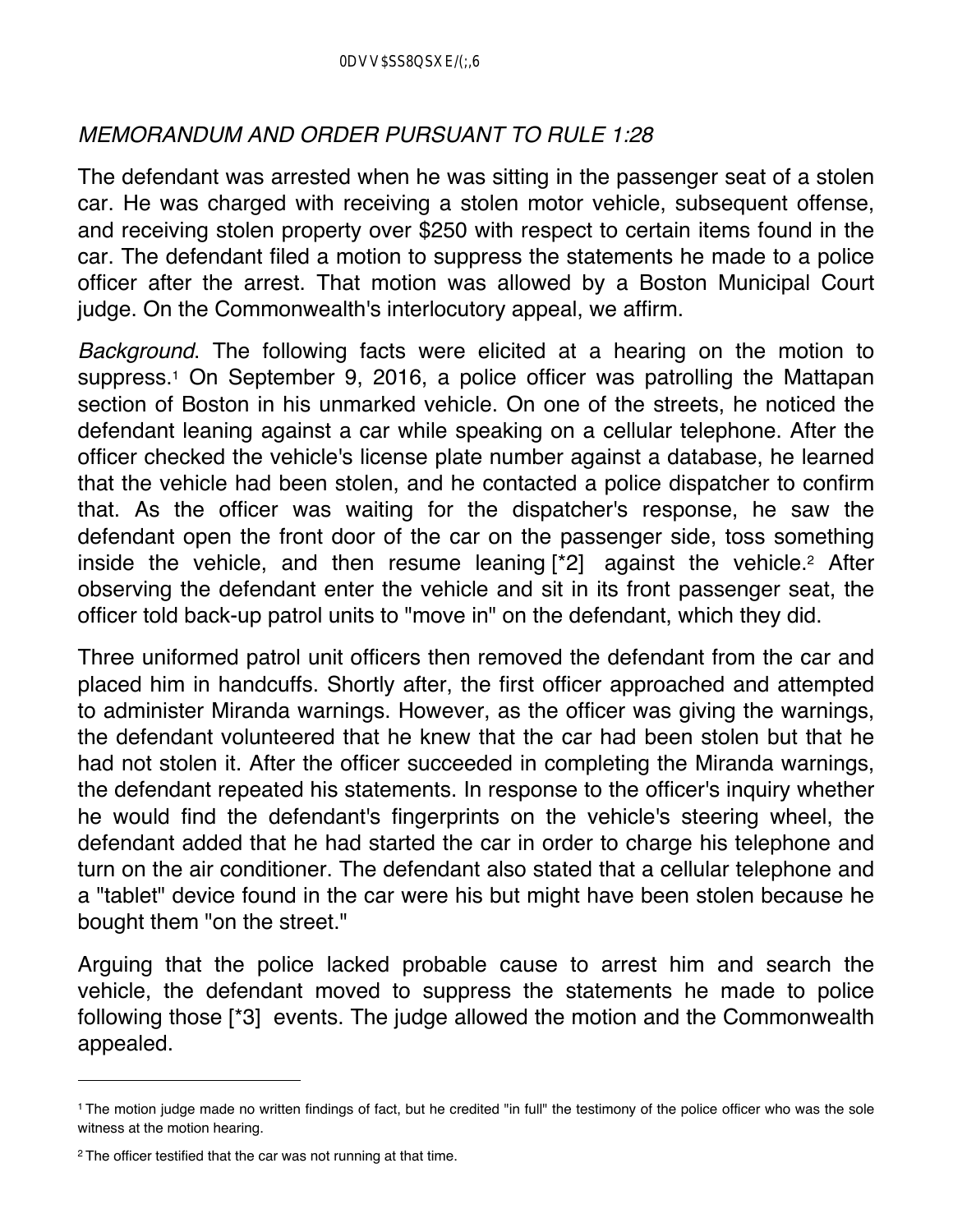## *MEMORANDUM AND ORDER PURSUANT TO RULE 1:28*

The defendant was arrested when he was sitting in the passenger seat of a stolen car. He was charged with receiving a stolen motor vehicle, subsequent offense, and receiving stolen property over \$250 with respect to certain items found in the car. The defendant filed a motion to suppress the statements he made to a police officer after the arrest. That motion was allowed by a Boston Municipal Court judge. On the Commonwealth's interlocutory appeal, we affirm.

*Background*. The following facts were elicited at a hearing on the motion to suppress.<sup>1</sup> On September 9, 2016, a police officer was patrolling the Mattapan section of Boston in his unmarked vehicle. On one of the streets, he noticed the defendant leaning against a car while speaking on a cellular telephone. After the officer checked the vehicle's license plate number against a database, he learned that the vehicle had been stolen, and he contacted a police dispatcher to confirm that. As the officer was waiting for the dispatcher's response, he saw the defendant open the front door of the car on the passenger side, toss something inside the vehicle, and then resume leaning  $\lceil 2 \rceil$  against the vehicle.<sup>2</sup> After observing the defendant enter the vehicle and sit in its front passenger seat, the officer told back-up patrol units to "move in" on the defendant, which they did.

Three uniformed patrol unit officers then removed the defendant from the car and placed him in handcuffs. Shortly after, the first officer approached and attempted to administer Miranda warnings. However, as the officer was giving the warnings, the defendant volunteered that he knew that the car had been stolen but that he had not stolen it. After the officer succeeded in completing the Miranda warnings, the defendant repeated his statements. In response to the officer's inquiry whether he would find the defendant's fingerprints on the vehicle's steering wheel, the defendant added that he had started the car in order to charge his telephone and turn on the air conditioner. The defendant also stated that a cellular telephone and a "tablet" device found in the car were his but might have been stolen because he bought them "on the street."

Arguing that the police lacked probable cause to arrest him and search the vehicle, the defendant moved to suppress the statements he made to police following those [\*3] events. The judge allowed the motion and the Commonwealth appealed.

<sup>1</sup> The motion judge made no written findings of fact, but he credited "in full" the testimony of the police officer who was the sole witness at the motion hearing.

<sup>&</sup>lt;sup>2</sup> The officer testified that the car was not running at that time.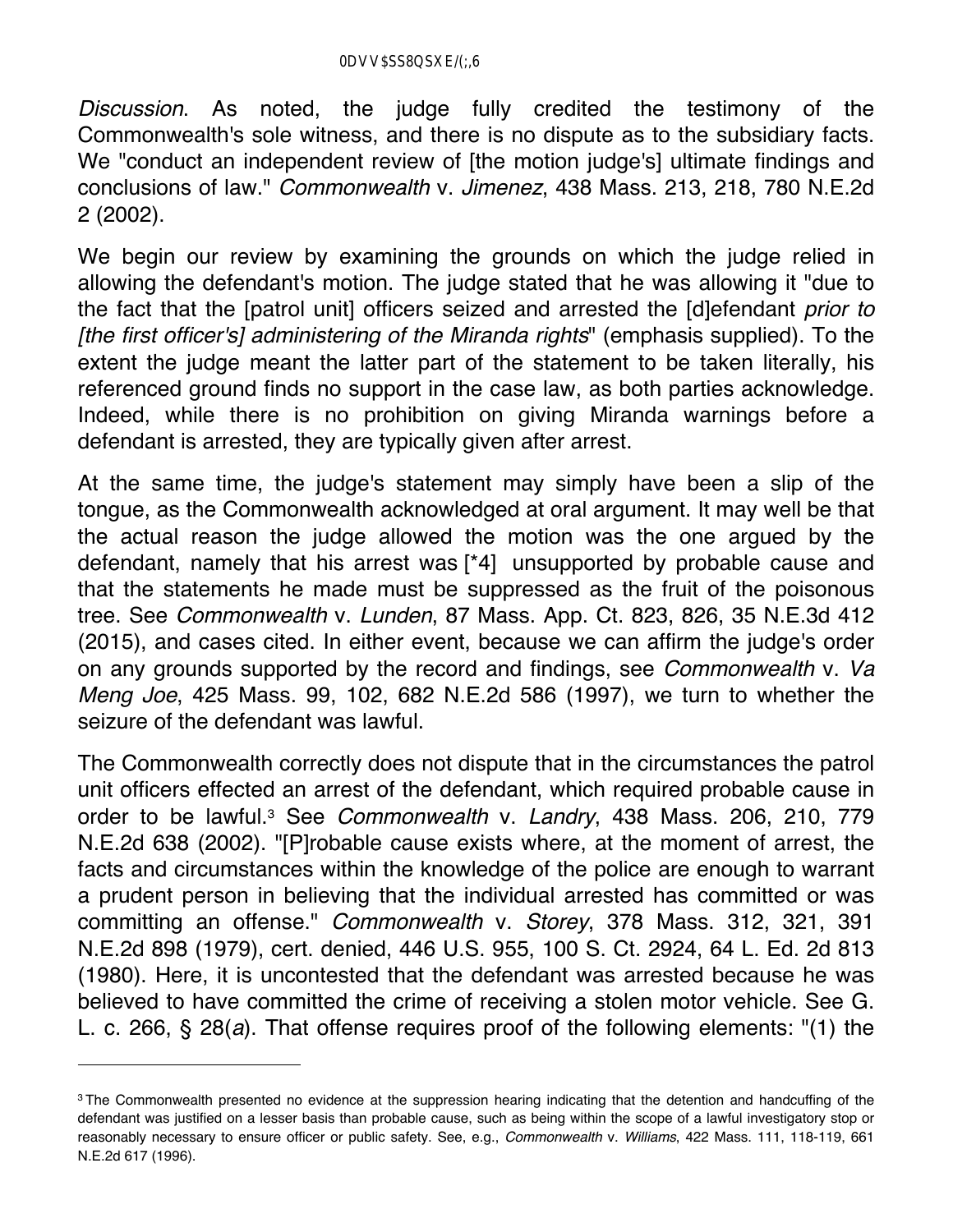*Discussion*. As noted, the judge fully credited the testimony of the Commonwealth's sole witness, and there is no dispute as to the subsidiary facts. We "conduct an independent review of [the motion judge's] ultimate findings and conclusions of law." *Commonwealth* v. *Jimenez*, 438 Mass. 213, 218, 780 N.E.2d 2 (2002).

We begin our review by examining the grounds on which the judge relied in allowing the defendant's motion. The judge stated that he was allowing it "due to the fact that the [patrol unit] officers seized and arrested the [d]efendant *prior to [the first officer's] administering of the Miranda rights*" (emphasis supplied). To the extent the judge meant the latter part of the statement to be taken literally, his referenced ground finds no support in the case law, as both parties acknowledge. Indeed, while there is no prohibition on giving Miranda warnings before a defendant is arrested, they are typically given after arrest.

At the same time, the judge's statement may simply have been a slip of the tongue, as the Commonwealth acknowledged at oral argument. It may well be that the actual reason the judge allowed the motion was the one argued by the defendant, namely that his arrest was [\*4] unsupported by probable cause and that the statements he made must be suppressed as the fruit of the poisonous tree. See *Commonwealth* v. *Lunden*, 87 Mass. App. Ct. 823, 826, 35 N.E.3d 412 (2015), and cases cited. In either event, because we can affirm the judge's order on any grounds supported by the record and findings, see *Commonwealth* v. *Va Meng Joe*, 425 Mass. 99, 102, 682 N.E.2d 586 (1997), we turn to whether the seizure of the defendant was lawful.

The Commonwealth correctly does not dispute that in the circumstances the patrol unit officers effected an arrest of the defendant, which required probable cause in order to be lawful.3 See *Commonwealth* v. *Landry*, 438 Mass. 206, 210, 779 N.E.2d 638 (2002). "[P]robable cause exists where, at the moment of arrest, the facts and circumstances within the knowledge of the police are enough to warrant a prudent person in believing that the individual arrested has committed or was committing an offense." *Commonwealth* v. *Storey*, 378 Mass. 312, 321, 391 N.E.2d 898 (1979), cert. denied, 446 U.S. 955, 100 S. Ct. 2924, 64 L. Ed. 2d 813 (1980). Here, it is uncontested that the defendant was arrested because he was believed to have committed the crime of receiving a stolen motor vehicle. See G. L. c. 266, § 28(*a*). That offense requires proof of the following elements: "(1) the

<sup>&</sup>lt;sup>3</sup> The Commonwealth presented no evidence at the suppression hearing indicating that the detention and handcuffing of the defendant was justified on a lesser basis than probable cause, such as being within the scope of a lawful investigatory stop or reasonably necessary to ensure officer or public safety. See, e.g., *Commonwealth* v. *Williams*, 422 Mass. 111, 118-119, 661 N.E.2d 617 (1996).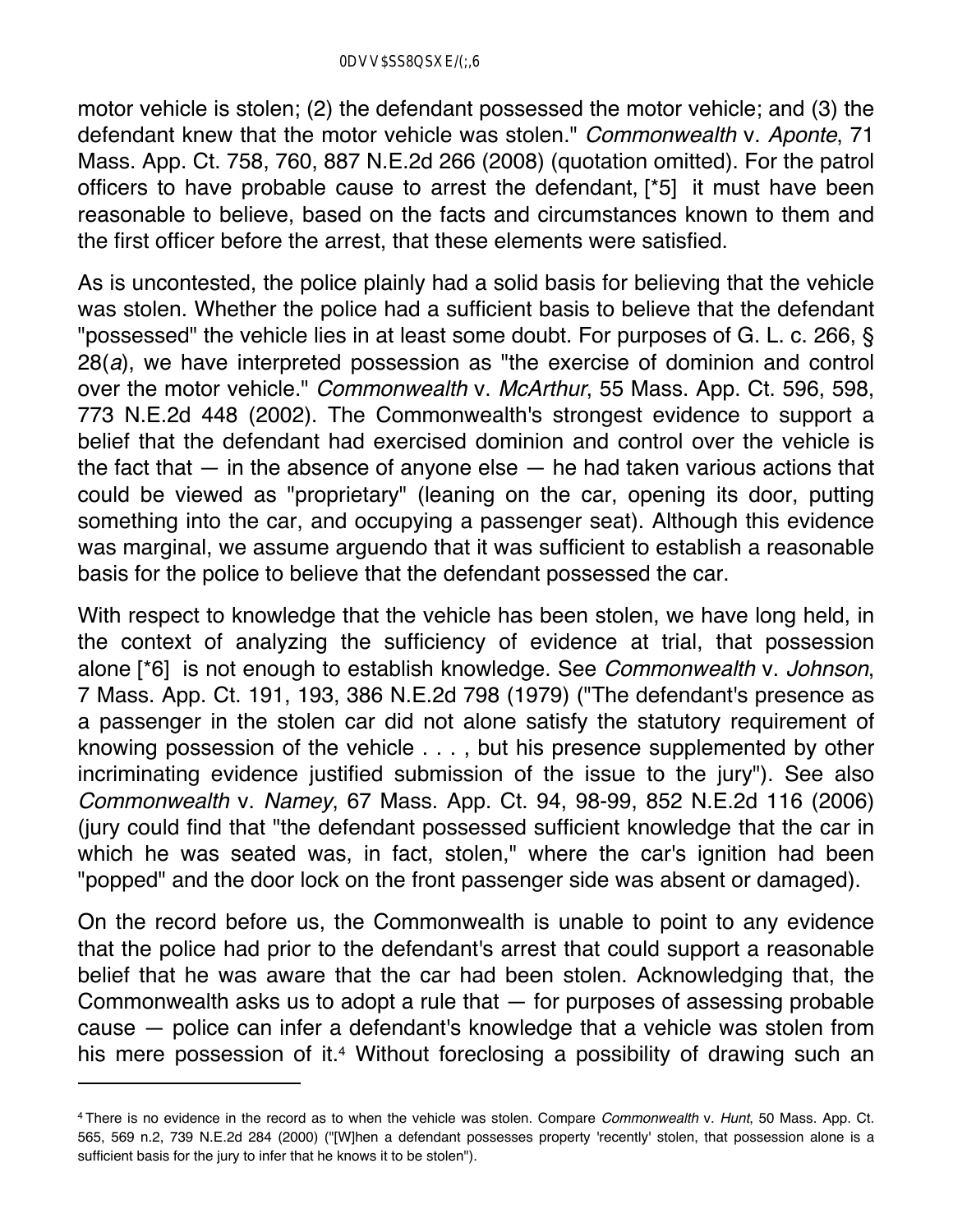motor vehicle is stolen; (2) the defendant possessed the motor vehicle; and (3) the defendant knew that the motor vehicle was stolen." *Commonwealth* v. *Aponte*, 71 Mass. App. Ct. 758, 760, 887 N.E.2d 266 (2008) (quotation omitted). For the patrol officers to have probable cause to arrest the defendant, [\*5] it must have been reasonable to believe, based on the facts and circumstances known to them and the first officer before the arrest, that these elements were satisfied.

As is uncontested, the police plainly had a solid basis for believing that the vehicle was stolen. Whether the police had a sufficient basis to believe that the defendant "possessed" the vehicle lies in at least some doubt. For purposes of G. L. c. 266, § 28(*a*), we have interpreted possession as "the exercise of dominion and control over the motor vehicle." *Commonwealth* v. *McArthur*, 55 Mass. App. Ct. 596, 598, 773 N.E.2d 448 (2002). The Commonwealth's strongest evidence to support a belief that the defendant had exercised dominion and control over the vehicle is the fact that  $-$  in the absence of anyone else  $-$  he had taken various actions that could be viewed as "proprietary" (leaning on the car, opening its door, putting something into the car, and occupying a passenger seat). Although this evidence was marginal, we assume arguendo that it was sufficient to establish a reasonable basis for the police to believe that the defendant possessed the car.

With respect to knowledge that the vehicle has been stolen, we have long held, in the context of analyzing the sufficiency of evidence at trial, that possession alone [\*6] is not enough to establish knowledge. See *Commonwealth* v. *Johnson*, 7 Mass. App. Ct. 191, 193, 386 N.E.2d 798 (1979) ("The defendant's presence as a passenger in the stolen car did not alone satisfy the statutory requirement of knowing possession of the vehicle . . . , but his presence supplemented by other incriminating evidence justified submission of the issue to the jury"). See also *Commonwealth* v. *Namey*, 67 Mass. App. Ct. 94, 98-99, 852 N.E.2d 116 (2006) (jury could find that "the defendant possessed sufficient knowledge that the car in which he was seated was, in fact, stolen," where the car's ignition had been "popped" and the door lock on the front passenger side was absent or damaged).

On the record before us, the Commonwealth is unable to point to any evidence that the police had prior to the defendant's arrest that could support a reasonable belief that he was aware that the car had been stolen. Acknowledging that, the Commonwealth asks us to adopt a rule that — for purposes of assessing probable cause — police can infer a defendant's knowledge that a vehicle was stolen from his mere possession of it.<sup>4</sup> Without foreclosing a possibility of drawing such an

<sup>4</sup> There is no evidence in the record as to when the vehicle was stolen. Compare *Commonwealth* v. *Hunt*, 50 Mass. App. Ct. 565, 569 n.2, 739 N.E.2d 284 (2000) ("[W]hen a defendant possesses property 'recently' stolen, that possession alone is a sufficient basis for the jury to infer that he knows it to be stolen").